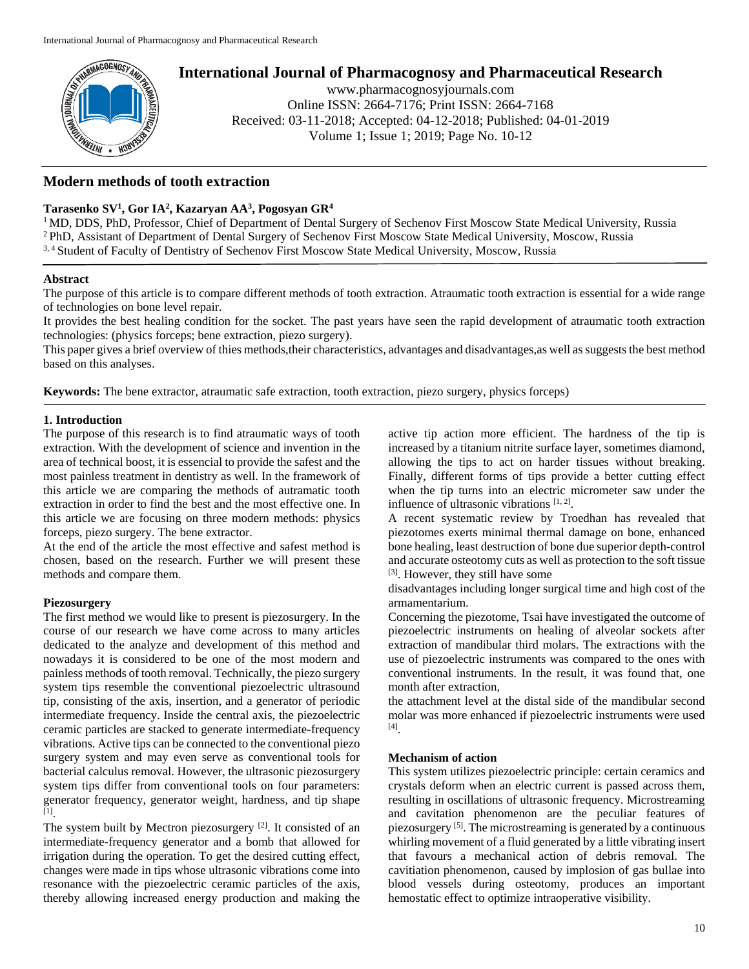

# **International Journal of Pharmacognosy and Pharmaceutical Research**

www.pharmacognosyjournals.com Online ISSN: 2664-7176; Print ISSN: 2664-7168 Received: 03-11-2018; Accepted: 04-12-2018; Published: 04-01-2019 Volume 1; Issue 1; 2019; Page No. 10-12

# **Modern methods of tooth eхtraction**

# **Tarasenko SV<sup>1</sup> , Gor IA<sup>2</sup> , Kazaryan AA<sup>3</sup> , Pogosyan GR<sup>4</sup>**

<sup>1</sup> MD, DDS, PhD, Professor, Chief of Department of Dental Surgery of Sechenov First Moscow State Medical University, Russia <sup>2</sup> PhD, Assistant of Department of Dental Surgery of Sechenov First Moscow State Medical University, Moscow, Russia 3, <sup>4</sup> Student of Faculty of Dentistry of Sechenov First Moscow State Medical University, Moscow, Russia

## **Abstract**

The purpose of this article is to compare different methods of tooth extraction. Atraumatic tooth extraction is essential for a wide range of technologies on bone level repair.

It provides the best healing condition for the socket. The past years have seen the rapid development of atraumatic tooth extraction technologies: (physics forceps; bene extraction, piezo surgery).

This paper gives a brief overview of thies methods,their characteristics, advantages and disadvantages,as well as suggests the best method based on this analyses.

**Keywords:** The bene extractor, atraumatic safe extraction, tooth extraction, piezo surgery, physics forceps)

## **1. Introduction**

The purpose of this research is to find atraumatic ways of tooth extraction. With the development of science and invention in the area of technical boost, it is essencial to provide the safest and the most painless treatment in dentistry as well. In the framework of this article we are comparing the methods of autramatic tooth extraction in order to find the best and the most effective one. In this article we are focusing on three modern methods: physics forceps, piezo surgery. The bene extractor.

At the end of the article the most effective and safest method is chosen, based on the research. Further we will present these methods and compare them.

## **Piezosurgery**

The first method we would like to present is piezosurgery. In the course of our research we have come across to many articles dedicated to the analyze and development of this method and nowadays it is considered to be one of the most modern and painless methods of tooth removal. Technically, the piezo surgery system tips resemble the conventional piezoelectric ultrasound tip, consisting of the axis, insertion, and a generator of periodic intermediate frequency. Inside the central axis, the piezoelectric ceramic particles are stacked to generate intermediate-frequency vibrations. Active tips can be connected to the conventional piezo surgery system and may even serve as conventional tools for bacterial calculus removal. However, the ultrasonic piezosurgery system tips differ from conventional tools on four parameters: generator frequency, generator weight, hardness, and tip shape [1] .

The system built by Mectron piezosurgery [2]. It consisted of an intermediate-frequency generator and a bomb that allowed for irrigation during the operation. To get the desired cutting effect, changes were made in tips whose ultrasonic vibrations come into resonance with the piezoelectric ceramic particles of the axis, thereby allowing increased energy production and making the

active tip action more efficient. The hardness of the tip is increased by a titanium nitrite surface layer, sometimes diamond, allowing the tips to act on harder tissues without breaking. Finally, different forms of tips provide a better cutting effect when the tip turns into an electric micrometer saw under the influence of ultrasonic vibrations  $[1, 2]$ .

A recent systematic review by Troedhan has revealed that piezotomes exerts minimal thermal damage on bone, enhanced bone healing, least destruction of bone due superior depth-control and accurate osteotomy cuts as well as protection to the soft tissue [3]. However, they still have some

disadvantages including longer surgical time and high cost of the armamentarium.

Concerning the piezotome, Tsai have investigated the outcome of piezoelectric instruments on healing of alveolar sockets after extraction of mandibular third molars. The extractions with the use of piezoelectric instruments was compared to the ones with conventional instruments. In the result, it was found that, one month after extraction,

the attachment level at the distal side of the mandibular second molar was more enhanced if piezoelectric instruments were used [4] .

#### **Mechanism of action**

This system utilizes piezoelectric principle: certain ceramics and crystals deform when an electric current is passed across them, resulting in oscillations of ultrasonic frequency. Microstreaming and cavitation phenomenon are the peculiar features of piezosurgery [5]. The microstreaming is generated by a continuous whirling movement of a fluid generated by a little vibrating insert that favours a mechanical action of debris removal. The cavitiation phenomenon, caused by implosion of gas bullae into blood vessels during osteotomy, produces an important hemostatic effect to optimize intraoperative visibility.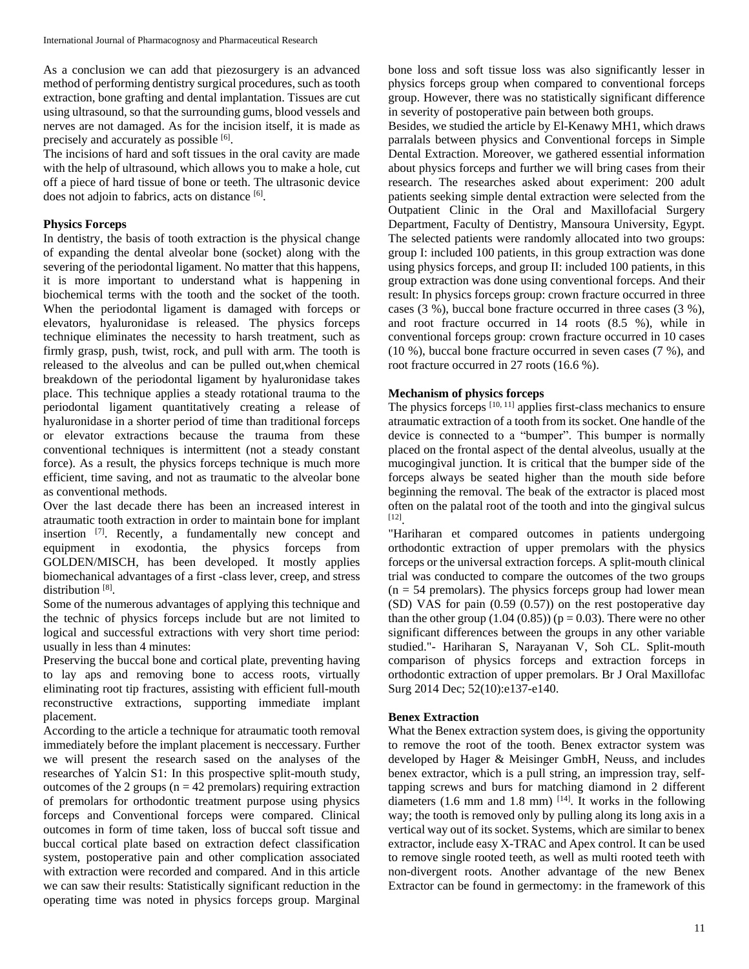As a conclusion we can add that piezosurgery is an advanced method of performing dentistry surgical procedures, such as tooth extraction, bone grafting and dental implantation. Tissues are cut using ultrasound, so that the surrounding gums, blood vessels and nerves are not damaged. As for the incision itself, it is made as precisely and accurately as possible [6].

The incisions of hard and soft tissues in the oral cavity are made with the help of ultrasound, which allows you to make a hole, cut off a piece of hard tissue of bone or teeth. The ultrasonic device does not adjoin to fabrics, acts on distance [6].

## **Physics Forceps**

In dentistry, the basis of tooth extraction is the physical change of expanding the dental alveolar bone (socket) along with the severing of the periodontal ligament. No matter that this happens, it is more important to understand what is happening in biochemical terms with the tooth and the socket of the tooth. When the periodontal ligament is damaged with forceps or elevators, hyaluronidase is released. The physics forceps technique eliminates the necessity to harsh treatment, such as firmly grasp, push, twist, rock, and pull with arm. The tooth is released to the alveolus and can be pulled out,when chemical breakdown of the periodontal ligament by hyaluronidase takes place. This technique applies a steady rotational trauma to the periodontal ligament quantitatively creating a release of hyaluronidase in a shorter period of time than traditional forceps or elevator extractions because the trauma from these conventional techniques is intermittent (not a steady constant force). As a result, the physics forceps technique is much more efficient, time saving, and not as traumatic to the alveolar bone as conventional methods.

Over the last decade there has been an increased interest in atraumatic tooth extraction in order to maintain bone for implant insertion [7]. Recently, a fundamentally new concept and equipment in exodontia, the physics forceps from GOLDEN/MISCH, has been developed. It mostly applies biomechanical advantages of a first -class lever, creep, and stress distribution<sup>[8]</sup>.

Some of the numerous advantages of applying this technique and the technic of physics forceps include but are not limited to logical and successful extractions with very short time period: usually in less than 4 minutes:

Preserving the buccal bone and cortical plate, preventing having to lay aps and removing bone to access roots, virtually eliminating root tip fractures, assisting with efficient full-mouth reconstructive extractions, supporting immediate implant placement.

According to the article a technique for atraumatic tooth removal immediately before the implant placement is neccessary. Further we will present the research sased on the analyses of the researches of Yalcin S1: In this prospective split-mouth study, outcomes of the 2 groups ( $n = 42$  premolars) requiring extraction of premolars for orthodontic treatment purpose using physics forceps and Conventional forceps were compared. Clinical outcomes in form of time taken, loss of buccal soft tissue and buccal cortical plate based on extraction defect classification system, postoperative pain and other complication associated with extraction were recorded and compared. And in this article we can saw their results: Statistically significant reduction in the operating time was noted in physics forceps group. Marginal

bone loss and soft tissue loss was also significantly lesser in physics forceps group when compared to conventional forceps group. However, there was no statistically significant difference in severity of postoperative pain between both groups.

Besides, we studied the article by El-Kenawy MH1, which draws parralals between physics and Conventional forceps in Simple Dental Extraction. Moreover, we gathered essential information about physics forceps and further we will bring cases from their research. The researches asked about experiment: 200 adult patients seeking simple dental extraction were selected from the Outpatient Clinic in the Oral and Maxillofacial Surgery Department, Faculty of Dentistry, Mansoura University, Egypt. The selected patients were randomly allocated into two groups: group I: included 100 patients, in this group extraction was done using physics forceps, and group II: included 100 patients, in this group extraction was done using conventional forceps. And their result: In physics forceps group: crown fracture occurred in three cases (3 %), buccal bone fracture occurred in three cases (3 %), and root fracture occurred in 14 roots (8.5 %), while in conventional forceps group: crown fracture occurred in 10 cases (10 %), buccal bone fracture occurred in seven cases (7 %), and root fracture occurred in 27 roots (16.6 %).

# **Mechanism of physics forceps**

The physics forceps  $[10, 11]$  applies first-class mechanics to ensure atraumatic extraction of a tooth from its socket. One handle of the device is connected to a "bumper". This bumper is normally placed on the frontal aspect of the dental alveolus, usually at the mucogingival junction. It is critical that the bumper side of the forceps always be seated higher than the mouth side before beginning the removal. The beak of the extractor is placed most often on the palatal root of the tooth and into the gingival sulcus [12] .

"Hariharan et compared outcomes in patients undergoing orthodontic extraction of upper premolars with the physics forceps or the universal extraction forceps. A split-mouth clinical trial was conducted to compare the outcomes of the two groups  $(n = 54$  premolars). The physics forceps group had lower mean (SD) VAS for pain (0.59 (0.57)) on the rest postoperative day than the other group  $(1.04 (0.85))$  ( $p = 0.03$ ). There were no other significant differences between the groups in any other variable studied."- Hariharan S, Narayanan V, Soh CL. Split-mouth comparison of physics forceps and extraction forceps in orthodontic extraction of upper premolars. Br J Oral Maxillofac Surg 2014 Dec; 52(10):e137-e140.

# **Benex Extraction**

What the Benex extraction system does, is giving the opportunity to remove the root of the tooth. Benex extractor system was developed by Hager & Meisinger GmbH, Neuss, and includes benex extractor, which is a pull string, an impression tray, selftapping screws and burs for matching diamond in 2 different diameters  $(1.6 \text{ mm}$  and  $1.8 \text{ mm})$  <sup>[14]</sup>. It works in the following way; the tooth is removed only by pulling along its long axis in a vertical way out of its socket. Systems, which are similar to benex extractor, include easy X-TRAC and Apex control. It can be used to remove single rooted teeth, as well as multi rooted teeth with non-divergent roots. Another advantage of the new Benex Extractor can be found in germectomy: in the framework of this